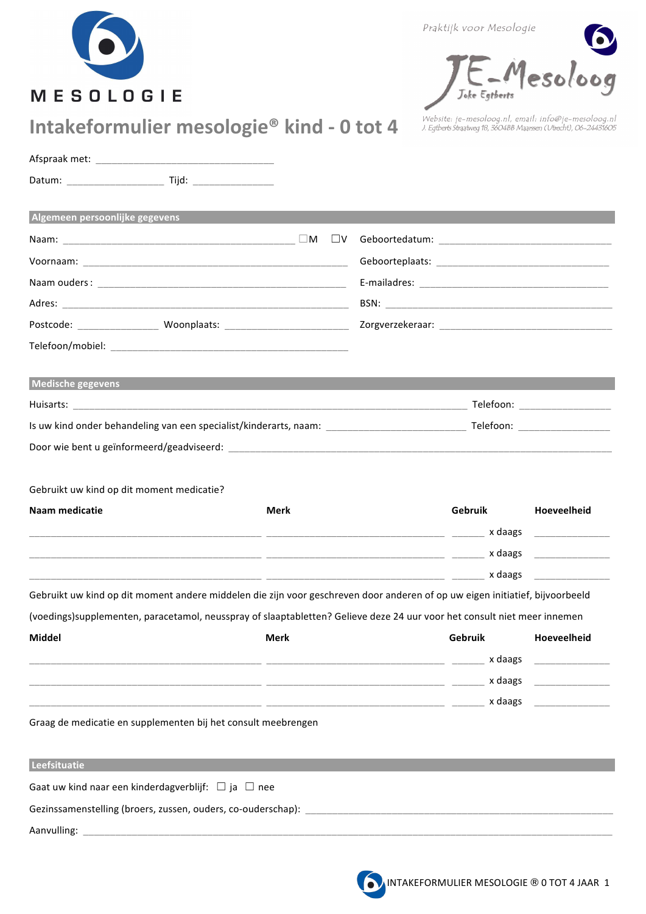| <b>MESOLOGIE</b> |  |  |  |  |
|------------------|--|--|--|--|

Praktijk voor Mesologie



website: je-mesoloog.nl, email: info@je-mesoloog.nl<br>J. Egtberts Straatweg 18, 3604BB Maarssen (Utrecht), 06-24431605

| Algemeen persoonlijke gegevens                                                                                               |                                              |
|------------------------------------------------------------------------------------------------------------------------------|----------------------------------------------|
|                                                                                                                              |                                              |
|                                                                                                                              |                                              |
|                                                                                                                              |                                              |
|                                                                                                                              |                                              |
|                                                                                                                              |                                              |
|                                                                                                                              |                                              |
| Medische gegevens                                                                                                            |                                              |
| Telefoon: _____________________                                                                                              |                                              |
|                                                                                                                              |                                              |
|                                                                                                                              |                                              |
| Gebruikt uw kind op dit moment medicatie?<br>Naam medicatie<br>Merk<br>Gebruik                                               | Hoeveelheid<br><u> 1990 - Jan Barnett, p</u> |
| Gebruikt uw kind op dit moment andere middelen die zijn voor geschreven door anderen of op uw eigen initiatief, bijvoorbeeld |                                              |
| (voedings)supplementen, paracetamol, neusspray of slaaptabletten? Gelieve deze 24 uur voor het consult niet meer innemen     |                                              |
| Middel<br>Merk<br>Gebruik<br>x daags<br>x daags _________________<br>x daags                                                 | Hoeveelheid                                  |
| Graag de medicatie en supplementen bij het consult meebrengen                                                                |                                              |
|                                                                                                                              |                                              |
|                                                                                                                              |                                              |
| Leefsituatie                                                                                                                 |                                              |
| Gaat uw kind naar een kinderdagverblijf: $\Box$ ja $\Box$ nee                                                                |                                              |
| Gezinssamenstelling (broers, zussen, ouders, co-ouderschap): entitled and an approximate the control of the co               |                                              |

G;C=H;>96- 777777777777777--I;;@AB44=C6--77777777777777777777777 J;<KL9<M9N9<44<6--77777777777777777777777777777777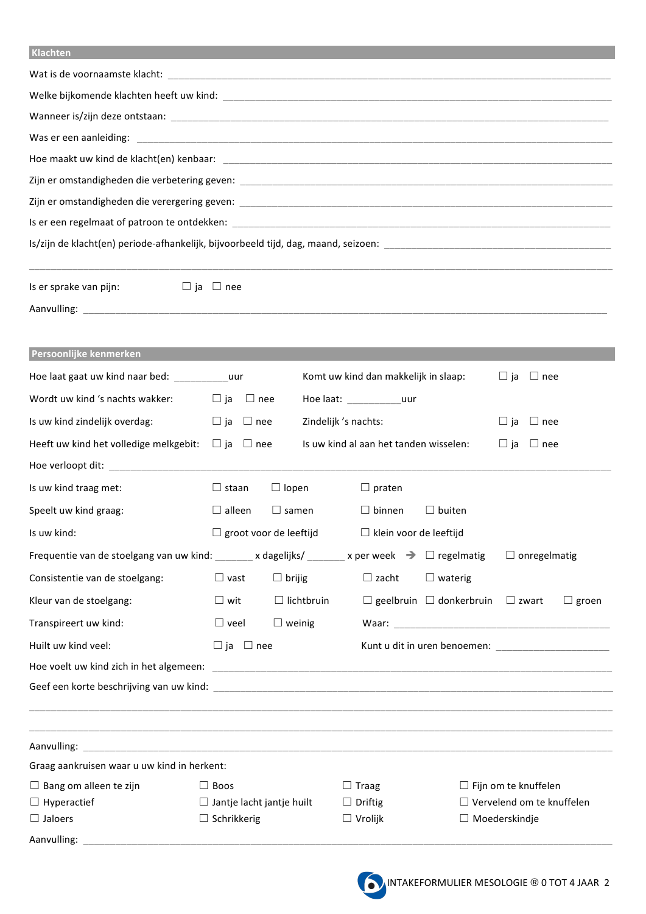## **B#5236%'**-- - - - - - -- -- - - - - - - -

| Is/zijn de klacht(en) periode-afhankelijk, bijvoorbeeld tijd, dag, maand, seizoen: [1988] [1988] [1988] [1988] [ |                                  |                               |                                        |                                                  |                                  |  |  |  |  |
|------------------------------------------------------------------------------------------------------------------|----------------------------------|-------------------------------|----------------------------------------|--------------------------------------------------|----------------------------------|--|--|--|--|
| Is er sprake van pijn:                                                                                           | $\Box$ ja $\Box$ nee             |                               |                                        |                                                  |                                  |  |  |  |  |
|                                                                                                                  |                                  |                               |                                        |                                                  |                                  |  |  |  |  |
| Persoonlijke kenmerken                                                                                           |                                  |                               |                                        |                                                  |                                  |  |  |  |  |
| Hoe laat gaat uw kind naar bed: ___________uur                                                                   |                                  |                               | Komt uw kind dan makkelijk in slaap:   |                                                  | $\Box$ ja<br>$\Box$ nee          |  |  |  |  |
| Wordt uw kind 's nachts wakker:                                                                                  | $\square$ ja<br>$\Box$ nee       |                               | Hoe laat: _________________uur         |                                                  |                                  |  |  |  |  |
| Is uw kind zindelijk overdag:                                                                                    | $\square$ ja $\square$ nee       |                               | Zindelijk 's nachts:                   |                                                  | $\Box$ nee<br>$\Box$ ja          |  |  |  |  |
| Heeft uw kind het volledige melkgebit:                                                                           | $\Box$ ja $\Box$ nee             |                               | Is uw kind al aan het tanden wisselen: |                                                  | $\Box$ nee<br>$\Box$ ja          |  |  |  |  |
|                                                                                                                  |                                  |                               |                                        |                                                  |                                  |  |  |  |  |
| Is uw kind traag met:                                                                                            | $\Box$ staan                     | $\Box$ lopen                  | $\Box$ praten                          |                                                  |                                  |  |  |  |  |
| Speelt uw kind graag:                                                                                            | $\Box$ alleen                    | $\Box$ samen                  | $\Box$ binnen                          | $\Box$ buiten                                    |                                  |  |  |  |  |
| Is uw kind:                                                                                                      |                                  | $\Box$ groot voor de leeftijd | □ klein voor de leeftijd               |                                                  |                                  |  |  |  |  |
| Frequentie van de stoelgang van uw kind: ______ x dagelijks/ ______ x per week $\Rightarrow$ $\Box$ regelmatig   |                                  |                               |                                        |                                                  | $\Box$ onregelmatig              |  |  |  |  |
| Consistentie van de stoelgang:                                                                                   | $\Box$ vast                      | $\Box$ brijig                 | $\Box$ zacht                           | $\Box$ waterig                                   |                                  |  |  |  |  |
| Kleur van de stoelgang:                                                                                          | $\square$ wit                    | $\Box$ lichtbruin             |                                        | $\Box$ geelbruin $\Box$ donkerbruin $\Box$ zwart | $\Box$ groen                     |  |  |  |  |
| Transpireert uw kind:                                                                                            | $\Box$ veel                      | $\Box$ weinig                 |                                        |                                                  |                                  |  |  |  |  |
| Huilt uw kind veel:                                                                                              | $\Box$ ja $\Box$ nee             |                               |                                        |                                                  | Kunt u dit in uren benoemen:     |  |  |  |  |
|                                                                                                                  |                                  |                               |                                        |                                                  |                                  |  |  |  |  |
|                                                                                                                  |                                  |                               |                                        |                                                  |                                  |  |  |  |  |
|                                                                                                                  |                                  |                               |                                        |                                                  |                                  |  |  |  |  |
| Graag aankruisen waar u uw kind in herkent:                                                                      |                                  |                               |                                        |                                                  |                                  |  |  |  |  |
| $\Box$ Bang om alleen te zijn                                                                                    | $\Box$ Boos                      |                               | $\Box$ Traag                           |                                                  | $\Box$ Fijn om te knuffelen      |  |  |  |  |
| $\Box$ Hyperactief                                                                                               | $\Box$ Jantje lacht jantje huilt |                               | $\Box$ Driftig                         |                                                  | $\Box$ Vervelend om te knuffelen |  |  |  |  |
| $\Box$ Jaloers                                                                                                   | $\Box$ Schrikkerig               |                               | $\Box$ Vrolijk                         |                                                  | $\Box$ Moederskindje             |  |  |  |  |
| Aanvulling:                                                                                                      |                                  |                               |                                        |                                                  |                                  |  |  |  |  |